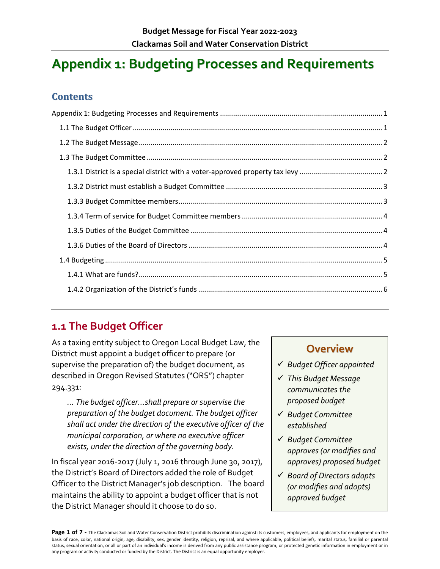# <span id="page-0-0"></span>**Appendix 1: Budgeting Processes and Requirements**

### **Contents**

## <span id="page-0-1"></span>**1.1 The Budget Officer**

As a taxing entity subject to Oregon Local Budget Law, the District must appoint a budget officer to prepare (or supervise the preparation of) the budget document, as described in Oregon Revised Statutes ("ORS") chapter 294.331:

*… The budget officer…shall prepare or supervise the preparation of the budget document. The budget officer shall act under the direction of the executive officer of the municipal corporation, or where no executive officer exists, under the direction of the governing body.*

In fiscal year 2016-2017 (July 1, 2016 through June 30, 2017), the District's Board of Directors added the role of Budget Officer to the District Manager's job description. The board maintains the ability to appoint a budget officer that is not the District Manager should it choose to do so.

### **Overview**

- *Budget Officer appointed*
- *This Budget Message communicates the proposed budget*
- *Budget Committee established*
- *Budget Committee approves (or modifies and approves) proposed budget*
- *Board of Directors adopts (or modifies and adopts) approved budget*

Page 1 of 7 - The Clackamas Soil and Water Conservation District prohibits discrimination against its customers, employees, and applicants for employment on the basis of race, color, national origin, age, disability, sex, gender identity, religion, reprisal, and where applicable, political beliefs, marital status, familial or parental status, sexual orientation, or all or part of an individual's income is derived from any public assistance program, or protected genetic information in employment or in any program or activity conducted or funded by the District. The District is an equal opportunity employer.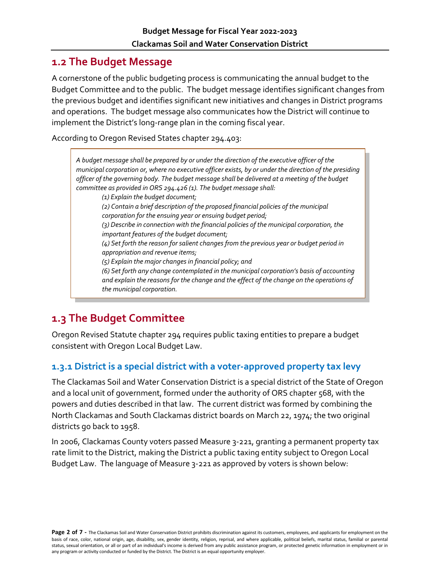### <span id="page-1-0"></span>**1.2 The Budget Message**

A cornerstone of the public budgeting process is communicating the annual budget to the Budget Committee and to the public. The budget message identifies significant changes from the previous budget and identifies significant new initiatives and changes in District programs and operations. The budget message also communicates how the District will continue to implement the District's long-range plan in the coming fiscal year.

According to Oregon Revised States chapter 294.403:

*A budget message shall be prepared by or under the direction of the executive officer of the municipal corporation or, where no executive officer exists, by or under the direction of the presiding officer of the governing body. The budget message shall be delivered at a meeting of the budget committee as provided in ORS 294.426 (1). The budget message shall: (1) Explain the budget document; (2) Contain a brief description of the proposed financial policies of the municipal corporation for the ensuing year or ensuing budget period; (3) Describe in connection with the financial policies of the municipal corporation, the important features of the budget document; (4) Set forth the reason for salient changes from the previous year or budget period in appropriation and revenue items; (5) Explain the major changes in financial policy; and (6) Set forth any change contemplated in the municipal corporation's basis of accounting and explain the reasons for the change and the effect of the change on the operations of the municipal corporation.*

## <span id="page-1-1"></span>**1.3 The Budget Committee**

Oregon Revised Statute chapter 294 requires public taxing entities to prepare a budget consistent with Oregon Local Budget Law.

#### <span id="page-1-2"></span>**1.3.1 District is a special district with a voter-approved property tax levy**

The Clackamas Soil and Water Conservation District is a special district of the State of Oregon and a local unit of government, formed under the authority of ORS chapter 568, with the powers and duties described in that law. The current district was formed by combining the North Clackamas and South Clackamas district boards on March 22, 1974; the two original districts go back to 1958.

In 2006, Clackamas County voters passed Measure 3-221, granting a permanent property tax rate limit to the District, making the District a public taxing entity subject to Oregon Local Budget Law. The language of Measure 3-221 as approved by voters is shown below: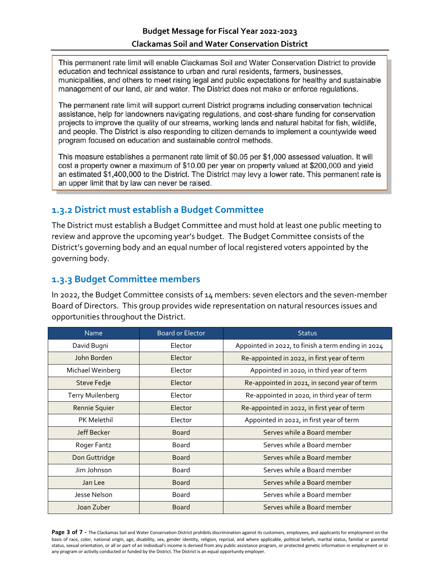This permanent rate limit will enable Clackamas Soil and Water Conservation District to provide education and technical assistance to urban and rural residents, farmers, businesses, municipalities, and others to meet rising legal and public expectations for healthy and sustainable management of our land, air and water. The District does not make or enforce regulations.

The permanent rate limit will support current District programs including conservation technical assistance, help for landowners navigating regulations, and cost-share funding for conservation projects to improve the quality of our streams, working lands and natural habitat for fish, wildlife, and people. The District is also responding to citizen demands to implement a countywide weed program focused on education and sustainable control methods.

This measure establishes a permanent rate limit of \$0.05 per \$1,000 assessed valuation. It will cost a property owner a maximum of \$10.00 per year on property valued at \$200,000 and yield an estimated \$1,400,000 to the District. The District may levy a lower rate. This permanent rate is an upper limit that by law can never be raised.

#### <span id="page-2-0"></span>**1.3.2 District must establish a Budget Committee**

The District must establish a Budget Committee and must hold at least one public meeting to review and approve the upcoming year's budget. The Budget Committee consists of the District's governing body and an equal number of local registered voters appointed by the governing body.

#### <span id="page-2-1"></span>**1.3.3 Budget Committee members**

In 2022, the Budget Committee consists of 14 members: seven electors and the seven-member Board of Directors. This group provides wide representation on natural resources issues and opportunities throughout the District.

| <b>Name</b>             | <b>Board or Elector</b> | <b>Status</b>                                      |
|-------------------------|-------------------------|----------------------------------------------------|
| David Bugni             | Elector                 | Appointed in 2022, to finish a term ending in 2024 |
| John Borden             | Elector                 | Re-appointed in 2022, in first year of term        |
| Michael Weinberg        | Elector                 | Appointed in 2020, in third year of term           |
| Steve Fedje             | Elector                 | Re-appointed in 2021, in second year of term       |
| <b>Terry Muilenberg</b> | Elector                 | Re-appointed in 2020, in third year of term        |
| Rennie Squier           | Elector                 | Re-appointed in 2022, in first year of term        |
| <b>PK Melethil</b>      | Elector                 | Appointed in 2022, in first year of term           |
| Jeff Becker             | <b>Board</b>            | Serves while a Board member                        |
| Roger Fantz             | <b>Board</b>            | Serves while a Board member                        |
| Don Guttridge           | <b>Board</b>            | Serves while a Board member                        |
| Jim Johnson             | Board                   | Serves while a Board member                        |
| Jan Lee                 | <b>Board</b>            | Serves while a Board member                        |
| Jesse Nelson            | <b>Board</b>            | Serves while a Board member                        |
| Joan Zuber              | <b>Board</b>            | Serves while a Board member                        |

Page 3 of 7 - The Clackamas Soil and Water Conservation District prohibits discrimination against its customers, employees, and applicants for employment on the basis of race, color, national origin, age, disability, sex, gender identity, religion, reprisal, and where applicable, political beliefs, marital status, familial or parental status, sexual orientation, or all or part of an individual's income is derived from any public assistance program, or protected genetic information in employment or in any program or activity conducted or funded by the District. The District is an equal opportunity employer.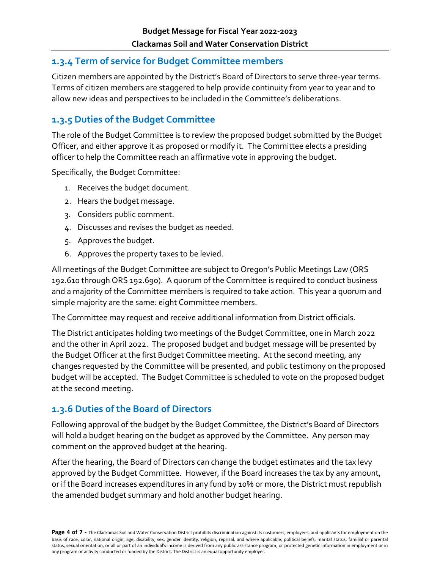#### <span id="page-3-0"></span>**1.3.4 Term of service for Budget Committee members**

Citizen members are appointed by the District's Board of Directors to serve three-year terms. Terms of citizen members are staggered to help provide continuity from year to year and to allow new ideas and perspectives to be included in the Committee's deliberations.

### <span id="page-3-1"></span>**1.3.5 Duties of the Budget Committee**

The role of the Budget Committee is to review the proposed budget submitted by the Budget Officer, and either approve it as proposed or modify it. The Committee elects a presiding officer to help the Committee reach an affirmative vote in approving the budget.

Specifically, the Budget Committee:

- 1. Receives the budget document.
- 2. Hears the budget message.
- 3. Considers public comment.
- 4. Discusses and revises the budget as needed.
- 5. Approves the budget.
- 6. Approves the property taxes to be levied.

All meetings of the Budget Committee are subject to Oregon's Public Meetings Law (ORS 192.610 through ORS 192.690). A quorum of the Committee is required to conduct business and a majority of the Committee members is required to take action. This year a quorum and simple majority are the same: eight Committee members.

The Committee may request and receive additional information from District officials.

The District anticipates holding two meetings of the Budget Committee, one in March 2022 and the other in April 2022. The proposed budget and budget message will be presented by the Budget Officer at the first Budget Committee meeting. At the second meeting, any changes requested by the Committee will be presented, and public testimony on the proposed budget will be accepted. The Budget Committee is scheduled to vote on the proposed budget at the second meeting.

### <span id="page-3-2"></span>**1.3.6 Duties of the Board of Directors**

Following approval of the budget by the Budget Committee, the District's Board of Directors will hold a budget hearing on the budget as approved by the Committee. Any person may comment on the approved budget at the hearing.

After the hearing, the Board of Directors can change the budget estimates and the tax levy approved by the Budget Committee. However, if the Board increases the tax by any amount, or if the Board increases expenditures in any fund by 10% or more, the District must republish the amended budget summary and hold another budget hearing.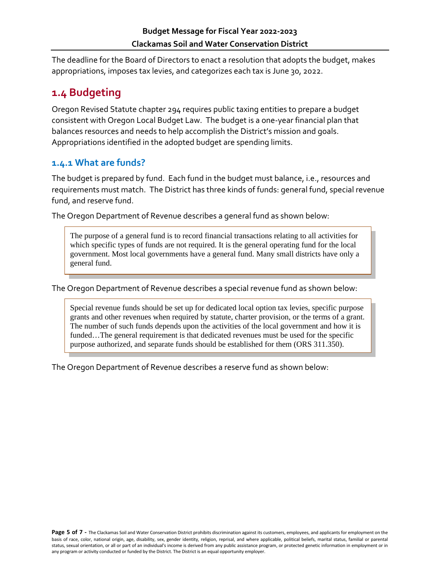The deadline for the Board of Directors to enact a resolution that adopts the budget, makes appropriations, imposes tax levies, and categorizes each tax is June 30, 2022.

## <span id="page-4-0"></span>**1.4 Budgeting**

Oregon Revised Statute chapter 294 requires public taxing entities to prepare a budget consistent with Oregon Local Budget Law. The budget is a one-year financial plan that balances resources and needs to help accomplish the District's mission and goals. Appropriations identified in the adopted budget are spending limits.

#### <span id="page-4-1"></span>**1.4.1 What are funds?**

The budget is prepared by fund. Each fund in the budget must balance, i.e., resources and requirements must match. The District has three kinds of funds: general fund, special revenue fund, and reserve fund.

The Oregon Department of Revenue describes a general fund as shown below:

The purpose of a general fund is to record financial transactions relating to all activities for which specific types of funds are not required. It is the general operating fund for the local government. Most local governments have a general fund. Many small districts have only a general fund.

The Oregon Department of Revenue describes a special revenue fund as shown below:

Special revenue funds should be set up for dedicated local option tax levies, specific purpose grants and other revenues when required by statute, charter provision, or the terms of a grant. The number of such funds depends upon the activities of the local government and how it is funded…The general requirement is that dedicated revenues must be used for the specific purpose authorized, and separate funds should be established for them (ORS 311.350).

The Oregon Department of Revenue describes a reserve fund as shown below: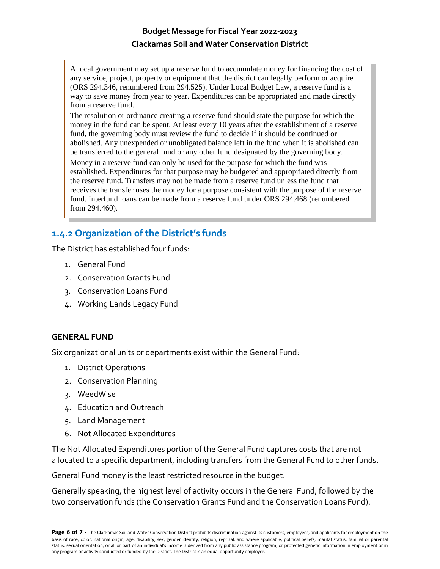A local government may set up a reserve fund to accumulate money for financing the cost of any service, project, property or equipment that the district can legally perform or acquire (ORS 294.346, renumbered from 294.525). Under Local Budget Law, a reserve fund is a way to save money from year to year. Expenditures can be appropriated and made directly from a reserve fund.

The resolution or ordinance creating a reserve fund should state the purpose for which the money in the fund can be spent. At least every 10 years after the establishment of a reserve fund, the governing body must review the fund to decide if it should be continued or abolished. Any unexpended or unobligated balance left in the fund when it is abolished can be transferred to the general fund or any other fund designated by the governing body. Money in a reserve fund can only be used for the purpose for which the fund was established. Expenditures for that purpose may be budgeted and appropriated directly from the reserve fund. Transfers may not be made from a reserve fund unless the fund that receives the transfer uses the money for a purpose consistent with the purpose of the reserve fund. Interfund loans can be made from a reserve fund under ORS 294.468 (renumbered from 294.460).

### <span id="page-5-0"></span>**1.4.2 Organization of the District's funds**

The District has established four funds:

- 1. General Fund
- 2. Conservation Grants Fund
- 3. Conservation Loans Fund
- 4. Working Lands Legacy Fund

#### **GENERAL FUND**

Six organizational units or departments exist within the General Fund:

- 1. District Operations
- 2. Conservation Planning
- 3. WeedWise
- 4. Education and Outreach
- 5. Land Management
- 6. Not Allocated Expenditures

The Not Allocated Expenditures portion of the General Fund captures costs that are not allocated to a specific department, including transfers from the General Fund to other funds.

General Fund money is the least restricted resource in the budget.

Generally speaking, the highest level of activity occurs in the General Fund, followed by the two conservation funds (the Conservation Grants Fund and the Conservation Loans Fund).